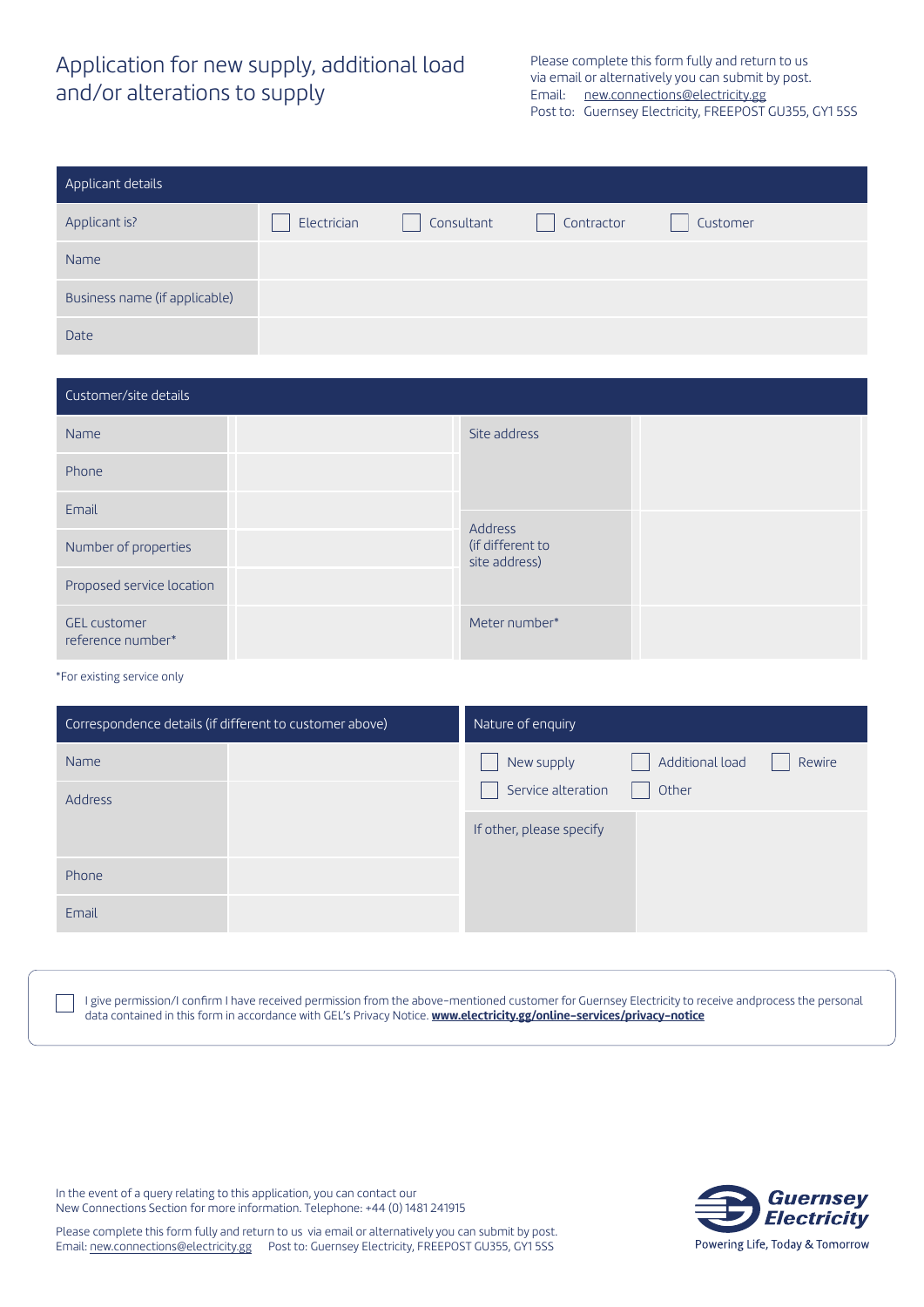## Application for new supply, additional load and/or alterations to supply

Please complete this form fully and return to us via email or alternatively you can submit by post. Email: new.connections@electricity.gg Post to: Guernsey Electricity, FREEPOST GU355, GY1 5SS

| Applicant details             |             |            |            |          |  |  |  |  |
|-------------------------------|-------------|------------|------------|----------|--|--|--|--|
| Applicant is?                 | Electrician | Consultant | Contractor | Customer |  |  |  |  |
| Name                          |             |            |            |          |  |  |  |  |
| Business name (if applicable) |             |            |            |          |  |  |  |  |
| <b>Date</b>                   |             |            |            |          |  |  |  |  |

| Customer/site details                    |                                              |  |  |  |  |  |
|------------------------------------------|----------------------------------------------|--|--|--|--|--|
| Name                                     | Site address                                 |  |  |  |  |  |
| Phone                                    |                                              |  |  |  |  |  |
| Email                                    |                                              |  |  |  |  |  |
| Number of properties                     | Address<br>(if different to<br>site address) |  |  |  |  |  |
| Proposed service location                |                                              |  |  |  |  |  |
| <b>GEL customer</b><br>reference number* | Meter number*                                |  |  |  |  |  |

## \*For existing service only

| Correspondence details (if different to customer above) | Nature of enquiry                       |  |  |  |  |
|---------------------------------------------------------|-----------------------------------------|--|--|--|--|
| Name                                                    | Additional load<br>New supply<br>Rewire |  |  |  |  |
| <b>Address</b>                                          | Service alteration<br>Other             |  |  |  |  |
|                                                         | If other, please specify                |  |  |  |  |
| Phone                                                   |                                         |  |  |  |  |
| Email                                                   |                                         |  |  |  |  |

I give permission/I confirm I have received permission from the above-mentioned customer for Guernsey Electricity to receive andprocess the personal data contained in this form in accordance with GEL's Privacy Notice. **www.electricity.gg/online-services/privacy-notice**

In the event of a query relating to this application, you can contact our New Connections Section for more information. Telephone: +44 (0) 1481 241915



Please complete this form fully and return to us via email or alternatively you can submit by post. Email: new.connections@electricity.gg Post to: Guernsey Electricity, FREEPOST GU355, GY1 5SS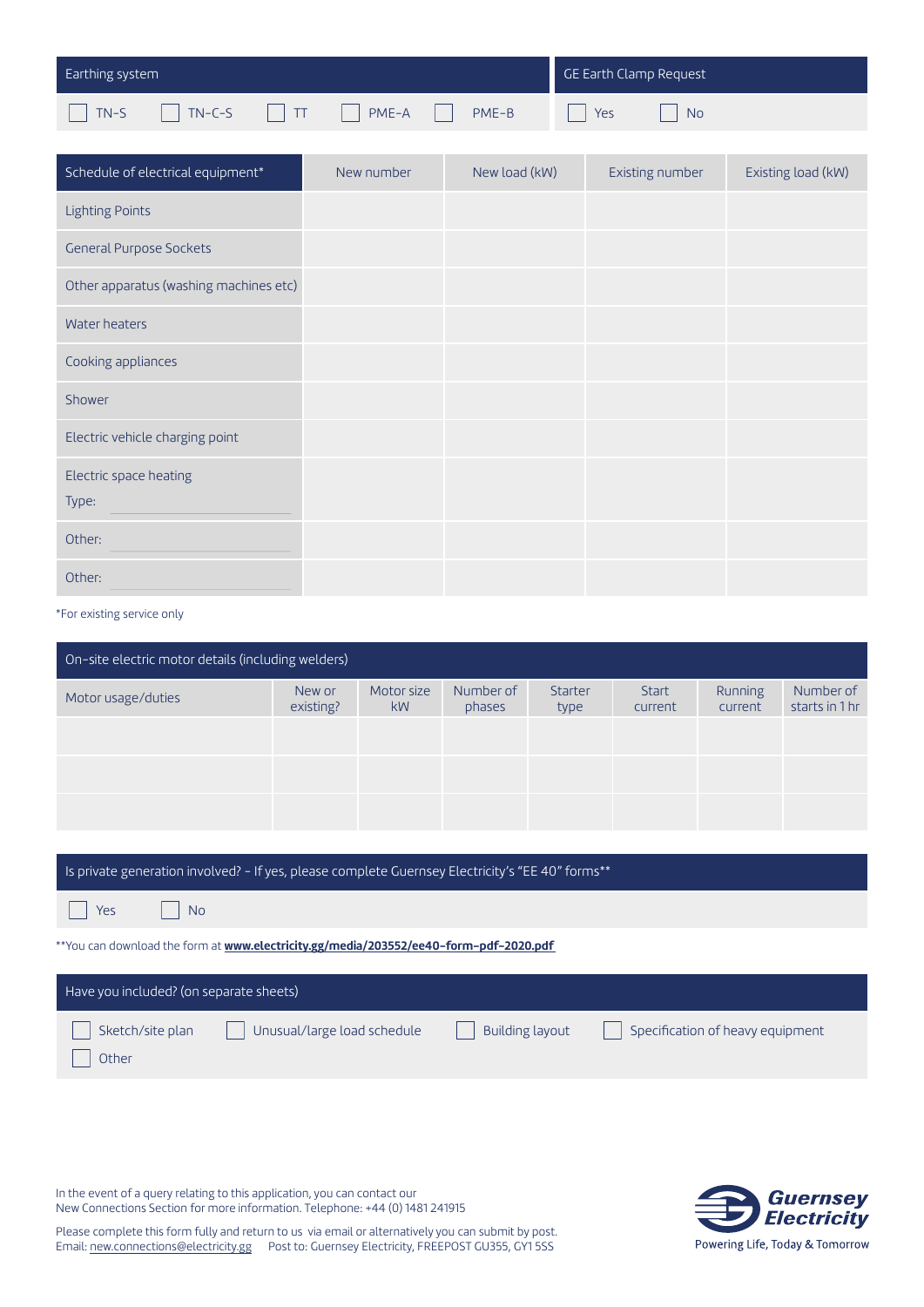| Earthing system |                |    |       |  |       | GE Earth Clamp Request |           |  |
|-----------------|----------------|----|-------|--|-------|------------------------|-----------|--|
| TN-S            | $\sqrt{N-C-S}$ | TT | PME-A |  | PME-B | Yes                    | <b>No</b> |  |

| Schedule of electrical equipment*      | New number | New load (kW) | Existing number | Existing load (kW) |
|----------------------------------------|------------|---------------|-----------------|--------------------|
| <b>Lighting Points</b>                 |            |               |                 |                    |
| <b>General Purpose Sockets</b>         |            |               |                 |                    |
| Other apparatus (washing machines etc) |            |               |                 |                    |
| Water heaters                          |            |               |                 |                    |
| Cooking appliances                     |            |               |                 |                    |
| Shower                                 |            |               |                 |                    |
| Electric vehicle charging point        |            |               |                 |                    |
| Electric space heating                 |            |               |                 |                    |
| Type:                                  |            |               |                 |                    |
| Other:                                 |            |               |                 |                    |
| Other:                                 |            |               |                 |                    |

\*For existing service only

| On-site electric motor details (including welders) |                     |                  |                     |                 |                  |                    |                             |  |  |
|----------------------------------------------------|---------------------|------------------|---------------------|-----------------|------------------|--------------------|-----------------------------|--|--|
| Motor usage/duties                                 | New or<br>existing? | Motor size<br>kW | Number of<br>phases | Starter<br>type | Start<br>current | Running<br>current | Number of<br>starts in 1 hr |  |  |
|                                                    |                     |                  |                     |                 |                  |                    |                             |  |  |
|                                                    |                     |                  |                     |                 |                  |                    |                             |  |  |
|                                                    |                     |                  |                     |                 |                  |                    |                             |  |  |
|                                                    |                     |                  |                     |                 |                  |                    |                             |  |  |

## Is private generation involved? - If yes, please complete Guernsey Electricity's "EE 40" forms\*\*

**Nes** 

Other

 $\Box$  No

\*\*You can download the form at **www.electricity.gg/media/203552/ee40-form-pdf-2020.pdf** 

## Have you included? (on separate sheets) Sketch/site plan  $\Box$  Unusual/large load schedule  $\Box$  Building layout  $\Box$  Specification of heavy equipment **Building layout**

In the event of a query relating to this application, you can contact our New Connections Section for more information. Telephone: +44 (0) 1481 241915



Please complete this form fully and return to us via email or alternatively you can submit by post. Email: new.connections@electricity.gg Post to: Guernsey Electricity, FREEPOST GU355, GY1 5SS